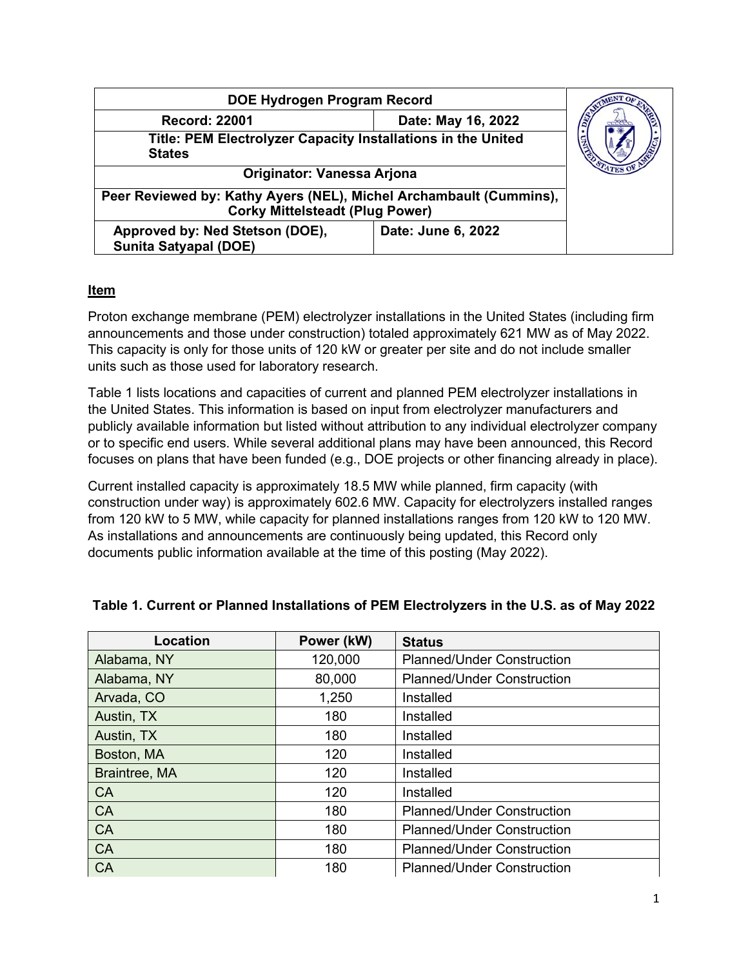| DOE Hydrogen Program Record                                                                                  |                    |  |
|--------------------------------------------------------------------------------------------------------------|--------------------|--|
| Date: May 16, 2022<br><b>Record: 22001</b>                                                                   |                    |  |
| Title: PEM Electrolyzer Capacity Installations in the United<br><b>States</b>                                |                    |  |
| <b>Originator: Vanessa Arjona</b>                                                                            |                    |  |
| Peer Reviewed by: Kathy Ayers (NEL), Michel Archambault (Cummins),<br><b>Corky Mittelsteadt (Plug Power)</b> |                    |  |
| Approved by: Ned Stetson (DOE),<br>Sunita Satyapal (DOE)                                                     | Date: June 6, 2022 |  |

## **Item**

Proton exchange membrane (PEM) electrolyzer installations in the United States (including firm announcements and those under construction) totaled approximately 621 MW as of May 2022. This capacity is only for those units of 120 kW or greater per site and do not include smaller units such as those used for laboratory research.

Table 1 lists locations and capacities of current and planned PEM electrolyzer installations in the United States. This information is based on input from electrolyzer manufacturers and publicly available information but listed without attribution to any individual electrolyzer company or to specific end users. While several additional plans may have been announced, this Record focuses on plans that have been funded (e.g., DOE projects or other financing already in place).

Current installed capacity is approximately 18.5 MW while planned, firm capacity (with construction under way) is approximately 602.6 MW. Capacity for electrolyzers installed ranges from 120 kW to 5 MW, while capacity for planned installations ranges from 120 kW to 120 MW. As installations and announcements are continuously being updated, this Record only documents public information available at the time of this posting (May 2022).

| <b>Location</b> | Power (kW) | <b>Status</b>                     |
|-----------------|------------|-----------------------------------|
| Alabama, NY     | 120,000    | <b>Planned/Under Construction</b> |
| Alabama, NY     | 80,000     | <b>Planned/Under Construction</b> |
| Arvada, CO      | 1,250      | Installed                         |
| Austin, TX      | 180        | Installed                         |
| Austin, TX      | 180        | Installed                         |
| Boston, MA      | 120        | Installed                         |
| Braintree, MA   | 120        | Installed                         |
| <b>CA</b>       | 120        | Installed                         |
| <b>CA</b>       | 180        | <b>Planned/Under Construction</b> |
| <b>CA</b>       | 180        | <b>Planned/Under Construction</b> |
| <b>CA</b>       | 180        | <b>Planned/Under Construction</b> |
| CA              | 180        | <b>Planned/Under Construction</b> |

## **Table 1. Current or Planned Installations of PEM Electrolyzers in the U.S. as of May 2022**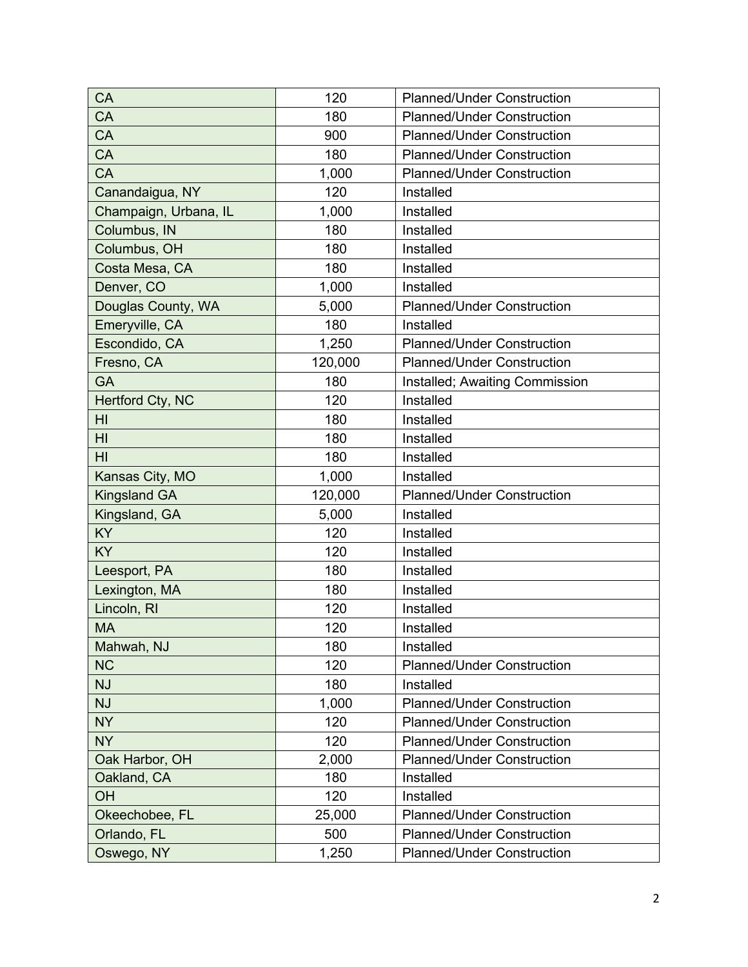| CA                    | 120     | <b>Planned/Under Construction</b> |
|-----------------------|---------|-----------------------------------|
| CA                    | 180     | <b>Planned/Under Construction</b> |
| CA                    | 900     | <b>Planned/Under Construction</b> |
| CA                    | 180     | <b>Planned/Under Construction</b> |
| CA                    | 1,000   | <b>Planned/Under Construction</b> |
| Canandaigua, NY       | 120     | Installed                         |
| Champaign, Urbana, IL | 1,000   | Installed                         |
| Columbus, IN          | 180     | Installed                         |
| Columbus, OH          | 180     | Installed                         |
| Costa Mesa, CA        | 180     | Installed                         |
| Denver, CO            | 1,000   | Installed                         |
| Douglas County, WA    | 5,000   | <b>Planned/Under Construction</b> |
| Emeryville, CA        | 180     | Installed                         |
| Escondido, CA         | 1,250   | <b>Planned/Under Construction</b> |
| Fresno, CA            | 120,000 | <b>Planned/Under Construction</b> |
| <b>GA</b>             | 180     | Installed; Awaiting Commission    |
| Hertford Cty, NC      | 120     | Installed                         |
| HI                    | 180     | Installed                         |
| H <sub>l</sub>        | 180     | Installed                         |
| HI                    | 180     | Installed                         |
| Kansas City, MO       | 1,000   | Installed                         |
| <b>Kingsland GA</b>   | 120,000 | <b>Planned/Under Construction</b> |
| Kingsland, GA         | 5,000   | Installed                         |
| <b>KY</b>             | 120     | Installed                         |
| KY                    | 120     | Installed                         |
| Leesport, PA          | 180     | Installed                         |
| Lexington, MA         | 180     | Installed                         |
| Lincoln, RI           | 120     | Installed                         |
| <b>MA</b>             | 120     | Installed                         |
| Mahwah, NJ            | 180     | Installed                         |
| <b>NC</b>             | 120     | <b>Planned/Under Construction</b> |
| <b>NJ</b>             | 180     | Installed                         |
| <b>NJ</b>             | 1,000   | <b>Planned/Under Construction</b> |
| <b>NY</b>             | 120     | <b>Planned/Under Construction</b> |
| <b>NY</b>             | 120     | <b>Planned/Under Construction</b> |
| Oak Harbor, OH        | 2,000   | <b>Planned/Under Construction</b> |
| Oakland, CA           | 180     | Installed                         |
| OH                    | 120     | Installed                         |
| Okeechobee, FL        | 25,000  | <b>Planned/Under Construction</b> |
| Orlando, FL           | 500     | <b>Planned/Under Construction</b> |
| Oswego, NY            | 1,250   | <b>Planned/Under Construction</b> |